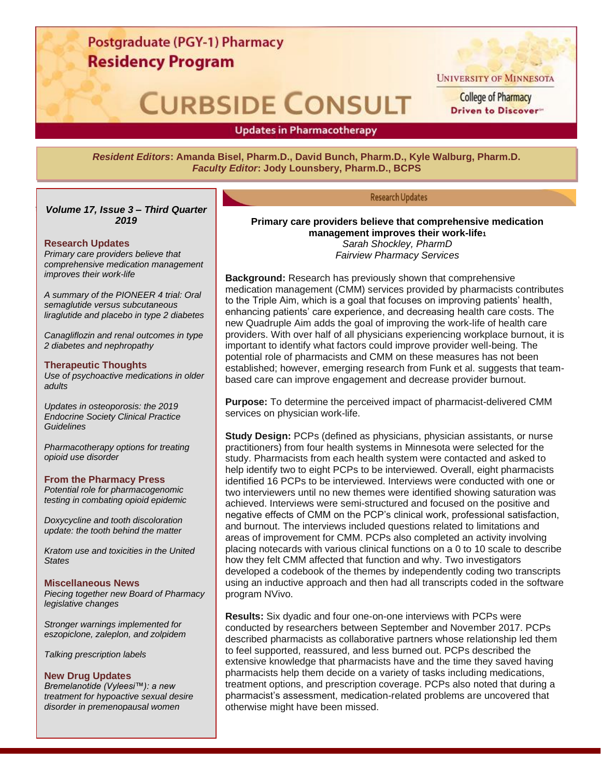### Postgraduate (PGY-1) Pharmacy **Residency Program**

# **CURBSIDE CONSULT**

**UNIVERSITY OF MINNESOTA** 

**College of Pharmacy** Driven to Discover

**Updates in Pharmacotherapy** 

*Resident Editors***: Amanda Bisel, Pharm.D., David Bunch, Pharm.D., Kyle Walburg, Pharm.D.** *Faculty Editor***: Jody Lounsbery, Pharm.D., BCPS**

#### **Research Updates**

**Primary care providers believe that comprehensive medication management improves their work-life<sup>1</sup>** *Sarah Shockley, PharmD Fairview Pharmacy Services*

**Background:** Research has previously shown that comprehensive medication management (CMM) services provided by pharmacists contributes to the Triple Aim, which is a goal that focuses on improving patients' health, enhancing patients' care experience, and decreasing health care costs. The new Quadruple Aim adds the goal of improving the work-life of health care providers. With over half of all physicians experiencing workplace burnout, it is important to identify what factors could improve provider well-being. The potential role of pharmacists and CMM on these measures has not been established; however, emerging research from Funk et al. suggests that teambased care can improve engagement and decrease provider burnout.

**Purpose:** To determine the perceived impact of pharmacist-delivered CMM services on physician work-life.

**Study Design:** PCPs (defined as physicians, physician assistants, or nurse practitioners) from four health systems in Minnesota were selected for the study. Pharmacists from each health system were contacted and asked to help identify two to eight PCPs to be interviewed. Overall, eight pharmacists identified 16 PCPs to be interviewed. Interviews were conducted with one or two interviewers until no new themes were identified showing saturation was achieved. Interviews were semi-structured and focused on the positive and negative effects of CMM on the PCP's clinical work, professional satisfaction, and burnout. The interviews included questions related to limitations and areas of improvement for CMM. PCPs also completed an activity involving placing notecards with various clinical functions on a 0 to 10 scale to describe how they felt CMM affected that function and why. Two investigators developed a codebook of the themes by independently coding two transcripts using an inductive approach and then had all transcripts coded in the software program NVivo.

**Results:** Six dyadic and four one-on-one interviews with PCPs were conducted by researchers between September and November 2017. PCPs described pharmacists as collaborative partners whose relationship led them to feel supported, reassured, and less burned out. PCPs described the extensive knowledge that pharmacists have and the time they saved having pharmacists help them decide on a variety of tasks including medications, treatment options, and prescription coverage. PCPs also noted that during a pharmacist's assessment, medication-related problems are uncovered that otherwise might have been missed.

**Updates in Research** *Volume 17, Issue 3 – Third Quarter 2019*

#### **Research Updates**

*Primary care providers believe that comprehensive medication management improves their work-life*

*A summary of the PIONEER 4 trial: Oral semaglutide versus subcutaneous liraglutide and placebo in type 2 diabetes*

*Canagliflozin and renal outcomes in type 2 diabetes and nephropathy*

#### **Therapeutic Thoughts**

*Use of psychoactive medications in older adults*

*Updates in osteoporosis: the 2019 Endocrine Society Clinical Practice Guidelines* 

*Pharmacotherapy options for treating opioid use disorder*

#### **From the Pharmacy Press**

*Potential role for pharmacogenomic testing in combating opioid epidemic*

*Doxycycline and tooth discoloration update: the tooth behind the matter*

*Kratom use and toxicities in the United States*

#### **Miscellaneous News**

*Piecing together new Board of Pharmacy legislative changes*

*Stronger warnings implemented for eszopiclone, zaleplon, and zolpidem*

*Talking prescription labels* 

#### **New Drug Updates**

*Bremelanotide (Vyleesi™): a new treatment for hypoactive sexual desire disorder in premenopausal women*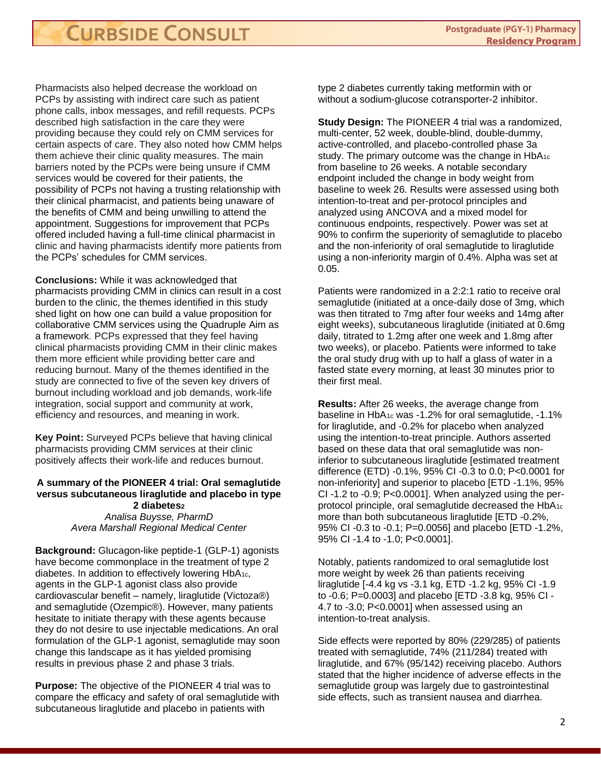Pharmacists also helped decrease the workload on PCPs by assisting with indirect care such as patient phone calls, inbox messages, and refill requests. PCPs described high satisfaction in the care they were providing because they could rely on CMM services for certain aspects of care. They also noted how CMM helps them achieve their clinic quality measures. The main barriers noted by the PCPs were being unsure if CMM services would be covered for their patients, the possibility of PCPs not having a trusting relationship with their clinical pharmacist, and patients being unaware of the benefits of CMM and being unwilling to attend the appointment. Suggestions for improvement that PCPs offered included having a full-time clinical pharmacist in clinic and having pharmacists identify more patients from the PCPs' schedules for CMM services.

**Conclusions:** While it was acknowledged that pharmacists providing CMM in clinics can result in a cost burden to the clinic, the themes identified in this study shed light on how one can build a value proposition for collaborative CMM services using the Quadruple Aim as a framework. PCPs expressed that they feel having clinical pharmacists providing CMM in their clinic makes them more efficient while providing better care and reducing burnout. Many of the themes identified in the study are connected to five of the seven key drivers of burnout including workload and job demands, work-life integration, social support and community at work, efficiency and resources, and meaning in work.

**Key Point:** Surveyed PCPs believe that having clinical pharmacists providing CMM services at their clinic positively affects their work-life and reduces burnout.

#### **A summary of the PIONEER 4 trial: Oral semaglutide versus subcutaneous liraglutide and placebo in type 2 diabetes<sup>2</sup>** *Analisa Buysse, PharmD Avera Marshall Regional Medical Center*

**Background:** Glucagon-like peptide-1 (GLP-1) agonists have become commonplace in the treatment of type 2 diabetes. In addition to effectively lowering HbA1c, agents in the GLP-1 agonist class also provide cardiovascular benefit – namely, liraglutide (Victoza®) and semaglutide (Ozempic®). However, many patients hesitate to initiate therapy with these agents because they do not desire to use injectable medications. An oral formulation of the GLP-1 agonist, semaglutide may soon change this landscape as it has yielded promising results in previous phase 2 and phase 3 trials.

**Purpose:** The objective of the PIONEER 4 trial was to compare the efficacy and safety of oral semaglutide with subcutaneous liraglutide and placebo in patients with

type 2 diabetes currently taking metformin with or without a sodium-glucose cotransporter-2 inhibitor.

**Study Design:** The PIONEER 4 trial was a randomized, multi-center, 52 week, double-blind, double-dummy, active-controlled, and placebo-controlled phase 3a study. The primary outcome was the change in HbA<sub>1c</sub> from baseline to 26 weeks. A notable secondary endpoint included the change in body weight from baseline to week 26. Results were assessed using both intention-to-treat and per-protocol principles and analyzed using ANCOVA and a mixed model for continuous endpoints, respectively. Power was set at 90% to confirm the superiority of semaglutide to placebo and the non-inferiority of oral semaglutide to liraglutide using a non-inferiority margin of 0.4%. Alpha was set at 0.05.

Patients were randomized in a 2:2:1 ratio to receive oral semaglutide (initiated at a once-daily dose of 3mg, which was then titrated to 7mg after four weeks and 14mg after eight weeks), subcutaneous liraglutide (initiated at 0.6mg daily, titrated to 1.2mg after one week and 1.8mg after two weeks), or placebo. Patients were informed to take the oral study drug with up to half a glass of water in a fasted state every morning, at least 30 minutes prior to their first meal.

**Results:** After 26 weeks, the average change from baseline in HbA1c was -1.2% for oral semaglutide, -1.1% for liraglutide, and -0.2% for placebo when analyzed using the intention-to-treat principle. Authors asserted based on these data that oral semaglutide was noninferior to subcutaneous liraglutide [estimated treatment difference (ETD) -0.1%, 95% CI -0.3 to 0.0; P<0.0001 for non-inferiority] and superior to placebo [ETD -1.1%, 95%  $Cl -1.2$  to  $-0.9$ ;  $P < 0.0001$ ]. When analyzed using the perprotocol principle, oral semaglutide decreased the HbA1c more than both subcutaneous liraglutide [ETD -0.2%, 95% CI -0.3 to -0.1; P=0.0056] and placebo [ETD -1.2%, 95% CI -1.4 to -1.0; P<0.0001].

Notably, patients randomized to oral semaglutide lost more weight by week 26 than patients receiving liraglutide [-4.4 kg vs -3.1 kg, ETD -1.2 kg, 95% CI -1.9 to -0.6; P=0.0003] and placebo [ETD -3.8 kg, 95% CI - 4.7 to -3.0; P<0.0001] when assessed using an intention-to-treat analysis.

Side effects were reported by 80% (229/285) of patients treated with semaglutide, 74% (211/284) treated with liraglutide, and 67% (95/142) receiving placebo. Authors stated that the higher incidence of adverse effects in the semaglutide group was largely due to gastrointestinal side effects, such as transient nausea and diarrhea.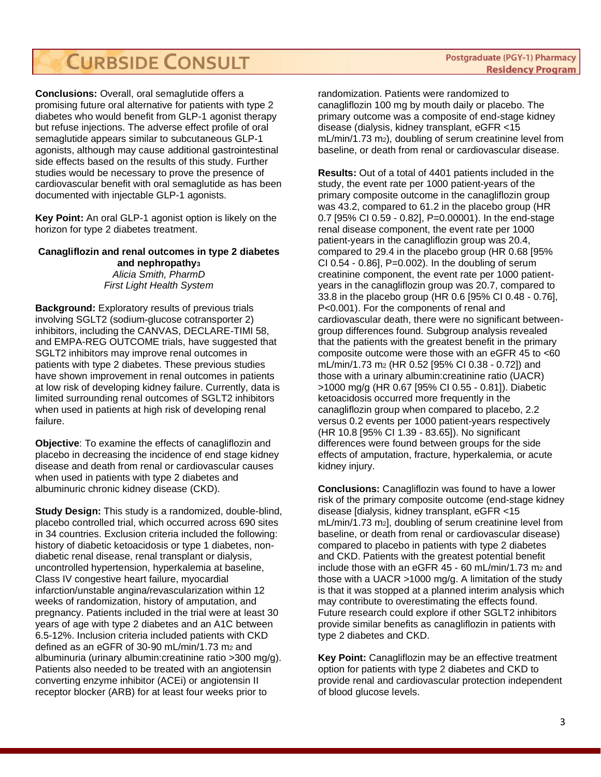**Conclusions:** Overall, oral semaglutide offers a promising future oral alternative for patients with type 2 diabetes who would benefit from GLP-1 agonist therapy but refuse injections. The adverse effect profile of oral semaglutide appears similar to subcutaneous GLP-1 agonists, although may cause additional gastrointestinal side effects based on the results of this study. Further studies would be necessary to prove the presence of cardiovascular benefit with oral semaglutide as has been documented with injectable GLP-1 agonists.

**Key Point:** An oral GLP-1 agonist option is likely on the horizon for type 2 diabetes treatment.

#### **Canagliflozin and renal outcomes in type 2 diabetes and nephropathy<sup>3</sup>** *Alicia Smith, PharmD First Light Health System*

**Background:** Exploratory results of previous trials involving SGLT2 (sodium-glucose cotransporter 2) inhibitors, including the CANVAS, DECLARE-TIMI 58, and EMPA-REG OUTCOME trials, have suggested that SGLT2 inhibitors may improve renal outcomes in patients with type 2 diabetes. These previous studies have shown improvement in renal outcomes in patients at low risk of developing kidney failure. Currently, data is limited surrounding renal outcomes of SGLT2 inhibitors when used in patients at high risk of developing renal failure.

**Objective**: To examine the effects of canagliflozin and placebo in decreasing the incidence of end stage kidney disease and death from renal or cardiovascular causes when used in patients with type 2 diabetes and albuminuric chronic kidney disease (CKD).

**Study Design:** This study is a randomized, double-blind, placebo controlled trial, which occurred across 690 sites in 34 countries. Exclusion criteria included the following: history of diabetic ketoacidosis or type 1 diabetes, nondiabetic renal disease, renal transplant or dialysis, uncontrolled hypertension, hyperkalemia at baseline, Class IV congestive heart failure, myocardial infarction/unstable angina/revascularization within 12 weeks of randomization, history of amputation, and pregnancy. Patients included in the trial were at least 30 years of age with type 2 diabetes and an A1C between 6.5-12%. Inclusion criteria included patients with CKD defined as an eGFR of 30-90 mL/min/1.73 m2 and albuminuria (urinary albumin:creatinine ratio >300 mg/g). Patients also needed to be treated with an angiotensin converting enzyme inhibitor (ACEi) or angiotensin II receptor blocker (ARB) for at least four weeks prior to

randomization. Patients were randomized to canagliflozin 100 mg by mouth daily or placebo. The primary outcome was a composite of end-stage kidney disease (dialysis, kidney transplant, eGFR <15 mL/min/1.73 m2), doubling of serum creatinine level from baseline, or death from renal or cardiovascular disease.

**Results:** Out of a total of 4401 patients included in the study, the event rate per 1000 patient-years of the primary composite outcome in the canagliflozin group was 43.2, compared to 61.2 in the placebo group (HR 0.7 [95% CI 0.59 - 0.82], P=0.00001). In the end-stage renal disease component, the event rate per 1000 patient-years in the canagliflozin group was 20.4, compared to 29.4 in the placebo group (HR 0.68 [95% CI 0.54 - 0.86], P=0.002). In the doubling of serum creatinine component, the event rate per 1000 patientyears in the canagliflozin group was 20.7, compared to 33.8 in the placebo group (HR 0.6 [95% CI 0.48 - 0.76], P<0.001). For the components of renal and cardiovascular death, there were no significant betweengroup differences found. Subgroup analysis revealed that the patients with the greatest benefit in the primary composite outcome were those with an eGFR 45 to <60 mL/min/1.73 m<sup>2</sup> (HR 0.52 [95% CI 0.38 - 0.72]) and those with a urinary albumin:creatinine ratio (UACR) >1000 mg/g (HR 0.67 [95% CI 0.55 - 0.81]). Diabetic ketoacidosis occurred more frequently in the canagliflozin group when compared to placebo, 2.2 versus 0.2 events per 1000 patient-years respectively (HR 10.8 [95% CI 1.39 - 83.65]). No significant differences were found between groups for the side effects of amputation, fracture, hyperkalemia, or acute kidney injury.

**Conclusions:** Canagliflozin was found to have a lower risk of the primary composite outcome (end-stage kidney disease [dialysis, kidney transplant, eGFR <15 mL/min/1.73 m2], doubling of serum creatinine level from baseline, or death from renal or cardiovascular disease) compared to placebo in patients with type 2 diabetes and CKD. Patients with the greatest potential benefit include those with an eGFR  $45 - 60$  mL/min/1.73 m<sub>2</sub> and those with a UACR >1000 mg/g. A limitation of the study is that it was stopped at a planned interim analysis which may contribute to overestimating the effects found. Future research could explore if other SGLT2 inhibitors provide similar benefits as canagliflozin in patients with type 2 diabetes and CKD.

**Key Point:** Canagliflozin may be an effective treatment option for patients with type 2 diabetes and CKD to provide renal and cardiovascular protection independent of blood glucose levels.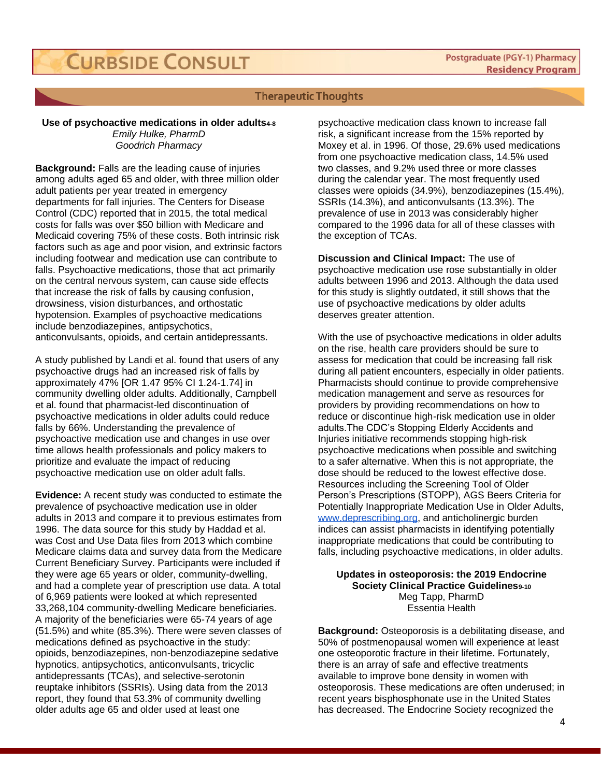#### **Therapeutic Thoughts**

#### **Use of psychoactive medications in older adults4-8** *Emily Hulke, PharmD Goodrich Pharmacy*

**Background:** Falls are the leading cause of injuries among adults aged 65 and older, with three million older adult patients per year treated in emergency departments for fall injuries. The Centers for Disease Control (CDC) reported that in 2015, the total medical costs for falls was over \$50 billion with Medicare and Medicaid covering 75% of these costs. Both intrinsic risk factors such as age and poor vision, and extrinsic factors including footwear and medication use can contribute to falls. Psychoactive medications, those that act primarily on the central nervous system, can cause side effects that increase the risk of falls by causing confusion, drowsiness, vision disturbances, and orthostatic hypotension. Examples of psychoactive medications include benzodiazepines, antipsychotics, anticonvulsants, opioids, and certain antidepressants.

A study published by Landi et al. found that users of any psychoactive drugs had an increased risk of falls by approximately 47% [OR 1.47 95% CI 1.24-1.74] in community dwelling older adults. Additionally, Campbell et al. found that pharmacist-led discontinuation of psychoactive medications in older adults could reduce falls by 66%. Understanding the prevalence of psychoactive medication use and changes in use over time allows health professionals and policy makers to prioritize and evaluate the impact of reducing psychoactive medication use on older adult falls.

**Evidence:** A recent study was conducted to estimate the prevalence of psychoactive medication use in older adults in 2013 and compare it to previous estimates from 1996. The data source for this study by Haddad et al. was Cost and Use Data files from 2013 which combine Medicare claims data and survey data from the Medicare Current Beneficiary Survey. Participants were included if they were age 65 years or older, community-dwelling, and had a complete year of prescription use data. A total of 6,969 patients were looked at which represented 33,268,104 community-dwelling Medicare beneficiaries. A majority of the beneficiaries were 65-74 years of age (51.5%) and white (85.3%). There were seven classes of medications defined as psychoactive in the study: opioids, benzodiazepines, non-benzodiazepine sedative hypnotics, antipsychotics, anticonvulsants, tricyclic antidepressants (TCAs), and selective-serotonin reuptake inhibitors (SSRIs). Using data from the 2013 report, they found that 53.3% of community dwelling older adults age 65 and older used at least one

psychoactive medication class known to increase fall risk, a significant increase from the 15% reported by Moxey et al. in 1996. Of those, 29.6% used medications from one psychoactive medication class, 14.5% used two classes, and 9.2% used three or more classes during the calendar year. The most frequently used classes were opioids (34.9%), benzodiazepines (15.4%), SSRIs (14.3%), and anticonvulsants (13.3%). The prevalence of use in 2013 was considerably higher compared to the 1996 data for all of these classes with the exception of TCAs.

**Discussion and Clinical Impact:** The use of psychoactive medication use rose substantially in older adults between 1996 and 2013. Although the data used for this study is slightly outdated, it still shows that the use of psychoactive medications by older adults deserves greater attention.

With the use of psychoactive medications in older adults on the rise, health care providers should be sure to assess for medication that could be increasing fall risk during all patient encounters, especially in older patients. Pharmacists should continue to provide comprehensive medication management and serve as resources for providers by providing recommendations on how to reduce or discontinue high-risk medication use in older adults.The CDC's Stopping Elderly Accidents and Injuries initiative recommends stopping high-risk psychoactive medications when possible and switching to a safer alternative. When this is not appropriate, the dose should be reduced to the lowest effective dose. Resources including the Screening Tool of Older Person's Prescriptions (STOPP), AGS Beers Criteria for Potentially Inappropriate Medication Use in Older Adults, [www.deprescribing.org,](http://www.deprescribing.org/) and anticholinergic burden indices can assist pharmacists in identifying potentially inappropriate medications that could be contributing to falls, including psychoactive medications, in older adults.

**Updates in osteoporosis: the 2019 Endocrine Society Clinical Practice Guidelines9-10** Meg Tapp, PharmD Essentia Health

**Background:** Osteoporosis is a debilitating disease, and 50% of postmenopausal women will experience at least one osteoporotic fracture in their lifetime. Fortunately, there is an array of safe and effective treatments available to improve bone density in women with osteoporosis. These medications are often underused; in recent years bisphosphonate use in the United States has decreased. The Endocrine Society recognized the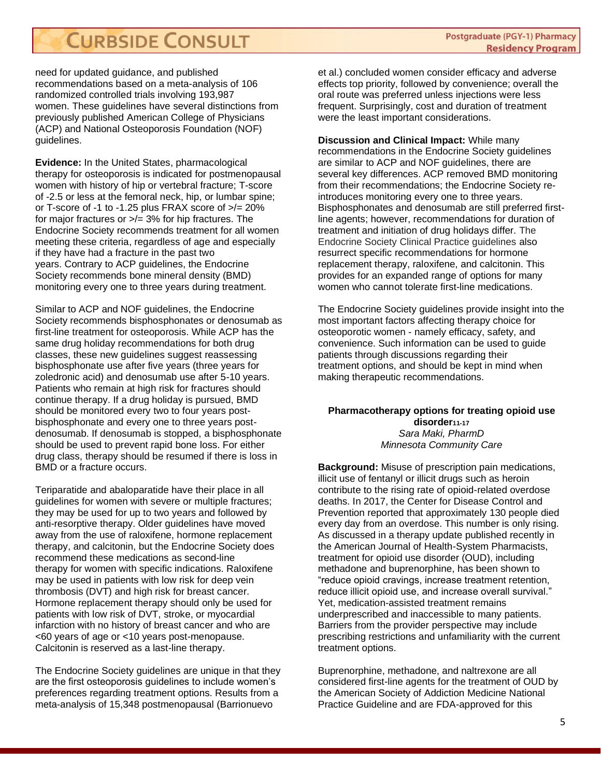need for updated guidance, and published recommendations based on a meta-analysis of 106 randomized controlled trials involving 193,987 women. These guidelines have several distinctions from previously published American College of Physicians (ACP) and National Osteoporosis Foundation (NOF) guidelines.

**Evidence:** In the United States, pharmacological therapy for osteoporosis is indicated for postmenopausal women with history of hip or vertebral fracture; T-score of -2.5 or less at the femoral neck, hip, or lumbar spine; or T-score of -1 to -1.25 plus FRAX score of  $\ge$ /= 20% for major fractures or >/= 3% for hip fractures. The Endocrine Society recommends treatment for all women meeting these criteria, regardless of age and especially if they have had a fracture in the past two years. Contrary to ACP guidelines, the Endocrine Society recommends bone mineral density (BMD) monitoring every one to three years during treatment.

Similar to ACP and NOF guidelines, the Endocrine Society recommends bisphosphonates or denosumab as first-line treatment for osteoporosis. While ACP has the same drug holiday recommendations for both drug classes, these new guidelines suggest reassessing bisphosphonate use after five years (three years for zoledronic acid) and denosumab use after 5-10 years. Patients who remain at high risk for fractures should continue therapy. If a drug holiday is pursued, BMD should be monitored every two to four years postbisphosphonate and every one to three years postdenosumab. If denosumab is stopped, a bisphosphonate should be used to prevent rapid bone loss. For either drug class, therapy should be resumed if there is loss in BMD or a fracture occurs.

Teriparatide and abaloparatide have their place in all guidelines for women with severe or multiple fractures; they may be used for up to two years and followed by anti-resorptive therapy. Older guidelines have moved away from the use of raloxifene, hormone replacement therapy, and calcitonin, but the Endocrine Society does recommend these medications as second-line therapy for women with specific indications. Raloxifene may be used in patients with low risk for deep vein thrombosis (DVT) and high risk for breast cancer. Hormone replacement therapy should only be used for patients with low risk of DVT, stroke, or myocardial infarction with no history of breast cancer and who are <60 years of age or <10 years post-menopause. Calcitonin is reserved as a last-line therapy.

The Endocrine Society guidelines are unique in that they are the first osteoporosis guidelines to include women's preferences regarding treatment options. Results from a meta-analysis of 15,348 postmenopausal (Barrionuevo

et al.) concluded women consider efficacy and adverse effects top priority, followed by convenience; overall the oral route was preferred unless injections were less frequent. Surprisingly, cost and duration of treatment were the least important considerations.

**Discussion and Clinical Impact:** While many recommendations in the Endocrine Society guidelines are similar to ACP and NOF guidelines, there are several key differences. ACP removed BMD monitoring from their recommendations; the Endocrine Society reintroduces monitoring every one to three years. Bisphosphonates and denosumab are still preferred firstline agents; however, recommendations for duration of treatment and initiation of drug holidays differ. The Endocrine Society Clinical Practice guidelines also resurrect specific recommendations for hormone replacement therapy, raloxifene, and calcitonin. This provides for an expanded range of options for many women who cannot tolerate first-line medications.

The Endocrine Society guidelines provide insight into the most important factors affecting therapy choice for osteoporotic women - namely efficacy, safety, and convenience. Such information can be used to guide patients through discussions regarding their treatment options, and should be kept in mind when making therapeutic recommendations.

#### **Pharmacotherapy options for treating opioid use disorder11-17** *Sara Maki, PharmD Minnesota Community Care*

**Background:** Misuse of prescription pain medications, illicit use of fentanyl or illicit drugs such as heroin contribute to the rising rate of opioid-related overdose deaths. In 2017, the Center for Disease Control and Prevention reported that approximately 130 people died every day from an overdose. This number is only rising. As discussed in a therapy update published recently in the American Journal of Health-System Pharmacists, treatment for opioid use disorder (OUD), including methadone and buprenorphine, has been shown to "reduce opioid cravings, increase treatment retention, reduce illicit opioid use, and increase overall survival." Yet, medication-assisted treatment remains underprescribed and inaccessible to many patients. Barriers from the provider perspective may include prescribing restrictions and unfamiliarity with the current treatment options.

Buprenorphine, methadone, and naltrexone are all considered first-line agents for the treatment of OUD by the American Society of Addiction Medicine National Practice Guideline and are FDA-approved for this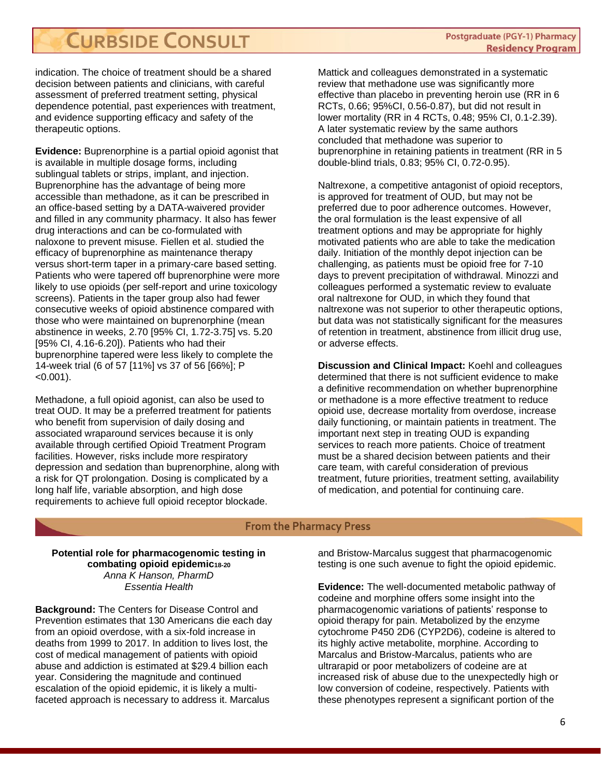indication. The choice of treatment should be a shared decision between patients and clinicians, with careful assessment of preferred treatment setting, physical dependence potential, past experiences with treatment, and evidence supporting efficacy and safety of the therapeutic options.

**Evidence:** Buprenorphine is a partial opioid agonist that is available in multiple dosage forms, including sublingual tablets or strips, implant, and injection. Buprenorphine has the advantage of being more accessible than methadone, as it can be prescribed in an office-based setting by a DATA-waivered provider and filled in any community pharmacy. It also has fewer drug interactions and can be co-formulated with naloxone to prevent misuse. Fiellen et al. studied the efficacy of buprenorphine as maintenance therapy versus short-term taper in a primary-care based setting. Patients who were tapered off buprenorphine were more likely to use opioids (per self-report and urine toxicology screens). Patients in the taper group also had fewer consecutive weeks of opioid abstinence compared with those who were maintained on buprenorphine (mean abstinence in weeks, 2.70 [95% CI, 1.72-3.75] vs. 5.20 [95% CI, 4.16-6.20]). Patients who had their buprenorphine tapered were less likely to complete the 14-week trial (6 of 57 [11%] vs 37 of 56 [66%]; P  $< 0.001$ ).

Methadone, a full opioid agonist, can also be used to treat OUD. It may be a preferred treatment for patients who benefit from supervision of daily dosing and associated wraparound services because it is only available through certified Opioid Treatment Program facilities. However, risks include more respiratory depression and sedation than buprenorphine, along with a risk for QT prolongation. Dosing is complicated by a long half life, variable absorption, and high dose requirements to achieve full opioid receptor blockade.

Mattick and colleagues demonstrated in a systematic review that methadone use was significantly more effective than placebo in preventing heroin use (RR in 6 RCTs, 0.66; 95%CI, 0.56-0.87), but did not result in lower mortality (RR in 4 RCTs, 0.48; 95% CI, 0.1-2.39). A later systematic review by the same authors concluded that methadone was superior to buprenorphine in retaining patients in treatment (RR in 5 double-blind trials, 0.83; 95% CI, 0.72-0.95).

Naltrexone, a competitive antagonist of opioid receptors, is approved for treatment of OUD, but may not be preferred due to poor adherence outcomes. However, the oral formulation is the least expensive of all treatment options and may be appropriate for highly motivated patients who are able to take the medication daily. Initiation of the monthly depot injection can be challenging, as patients must be opioid free for 7-10 days to prevent precipitation of withdrawal. Minozzi and colleagues performed a systematic review to evaluate oral naltrexone for OUD, in which they found that naltrexone was not superior to other therapeutic options, but data was not statistically significant for the measures of retention in treatment, abstinence from illicit drug use, or adverse effects.

**Discussion and Clinical Impact:** Koehl and colleagues determined that there is not sufficient evidence to make a definitive recommendation on whether buprenorphine or methadone is a more effective treatment to reduce opioid use, decrease mortality from overdose, increase daily functioning, or maintain patients in treatment. The important next step in treating OUD is expanding services to reach more patients. Choice of treatment must be a shared decision between patients and their care team, with careful consideration of previous treatment, future priorities, treatment setting, availability of medication, and potential for continuing care.

#### **From the Pharmacy Press**

**Potential role for pharmacogenomic testing in combating opioid epidemic18-20** *Anna K Hanson, PharmD Essentia Health*

**Background:** The Centers for Disease Control and Prevention estimates that 130 Americans die each day from an opioid overdose, with a six-fold increase in deaths from 1999 to 2017. In addition to lives lost, the cost of medical management of patients with opioid abuse and addiction is estimated at \$29.4 billion each year. Considering the magnitude and continued escalation of the opioid epidemic, it is likely a multifaceted approach is necessary to address it. Marcalus

and Bristow-Marcalus suggest that pharmacogenomic testing is one such avenue to fight the opioid epidemic.

**Evidence:** The well-documented metabolic pathway of codeine and morphine offers some insight into the pharmacogenomic variations of patients' response to opioid therapy for pain. Metabolized by the enzyme cytochrome P450 2D6 (CYP2D6), codeine is altered to its highly active metabolite, morphine. According to Marcalus and Bristow-Marcalus, patients who are ultrarapid or poor metabolizers of codeine are at increased risk of abuse due to the unexpectedly high or low conversion of codeine, respectively. Patients with these phenotypes represent a significant portion of the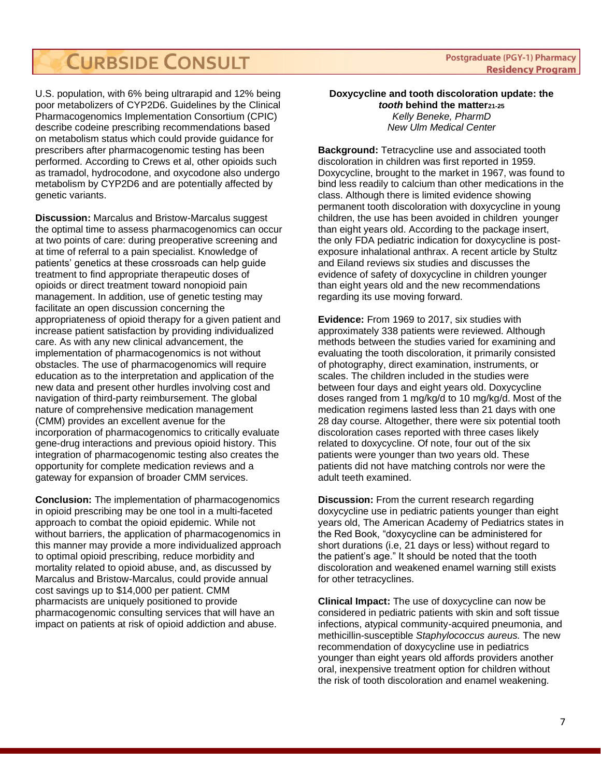U.S. population, with 6% being ultrarapid and 12% being poor metabolizers of CYP2D6. Guidelines by the Clinical Pharmacogenomics Implementation Consortium (CPIC) describe codeine prescribing recommendations based on metabolism status which could provide guidance for prescribers after pharmacogenomic testing has been performed. According to Crews et al, other opioids such as tramadol, hydrocodone, and oxycodone also undergo metabolism by CYP2D6 and are potentially affected by genetic variants.

**Discussion:** Marcalus and Bristow-Marcalus suggest the optimal time to assess pharmacogenomics can occur at two points of care: during preoperative screening and at time of referral to a pain specialist. Knowledge of patients' genetics at these crossroads can help guide treatment to find appropriate therapeutic doses of opioids or direct treatment toward nonopioid pain management. In addition, use of genetic testing may facilitate an open discussion concerning the appropriateness of opioid therapy for a given patient and increase patient satisfaction by providing individualized care. As with any new clinical advancement, the implementation of pharmacogenomics is not without obstacles. The use of pharmacogenomics will require education as to the interpretation and application of the new data and present other hurdles involving cost and navigation of third-party reimbursement. The global nature of comprehensive medication management (CMM) provides an excellent avenue for the incorporation of pharmacogenomics to critically evaluate gene-drug interactions and previous opioid history. This integration of pharmacogenomic testing also creates the opportunity for complete medication reviews and a gateway for expansion of broader CMM services.

**Conclusion:** The implementation of pharmacogenomics in opioid prescribing may be one tool in a multi-faceted approach to combat the opioid epidemic. While not without barriers, the application of pharmacogenomics in this manner may provide a more individualized approach to optimal opioid prescribing, reduce morbidity and mortality related to opioid abuse, and, as discussed by Marcalus and Bristow-Marcalus, could provide annual cost savings up to \$14,000 per patient. CMM pharmacists are uniquely positioned to provide pharmacogenomic consulting services that will have an impact on patients at risk of opioid addiction and abuse.

#### **Postgraduate (PGY-1) Pharmacy Residency Program**

#### **Doxycycline and tooth discoloration update: the**

*tooth* **behind the matter21-25** *Kelly Beneke, PharmD New Ulm Medical Center*

**Background:** Tetracycline use and associated tooth discoloration in children was first reported in 1959. Doxycycline, brought to the market in 1967, was found to bind less readily to calcium than other medications in the class. Although there is limited evidence showing permanent tooth discoloration with doxycycline in young children, the use has been avoided in children younger than eight years old. According to the package insert, the only FDA pediatric indication for doxycycline is postexposure inhalational anthrax. A recent article by Stultz and Eiland reviews six studies and discusses the evidence of safety of doxycycline in children younger than eight years old and the new recommendations regarding its use moving forward.

**Evidence:** From 1969 to 2017, six studies with approximately 338 patients were reviewed. Although methods between the studies varied for examining and evaluating the tooth discoloration, it primarily consisted of photography, direct examination, instruments, or scales. The children included in the studies were between four days and eight years old. Doxycycline doses ranged from 1 mg/kg/d to 10 mg/kg/d. Most of the medication regimens lasted less than 21 days with one 28 day course. Altogether, there were six potential tooth discoloration cases reported with three cases likely related to doxycycline. Of note, four out of the six patients were younger than two years old. These patients did not have matching controls nor were the adult teeth examined.

**Discussion:** From the current research regarding doxycycline use in pediatric patients younger than eight years old, The American Academy of Pediatrics states in the Red Book, "doxycycline can be administered for short durations (i.e, 21 days or less) without regard to the patient's age." It should be noted that the tooth discoloration and weakened enamel warning still exists for other tetracyclines.

**Clinical Impact:** The use of doxycycline can now be considered in pediatric patients with skin and soft tissue infections, atypical community-acquired pneumonia, and methicillin-susceptible *Staphylococcus aureus.* The new recommendation of doxycycline use in pediatrics younger than eight years old affords providers another oral, inexpensive treatment option for children without the risk of tooth discoloration and enamel weakening.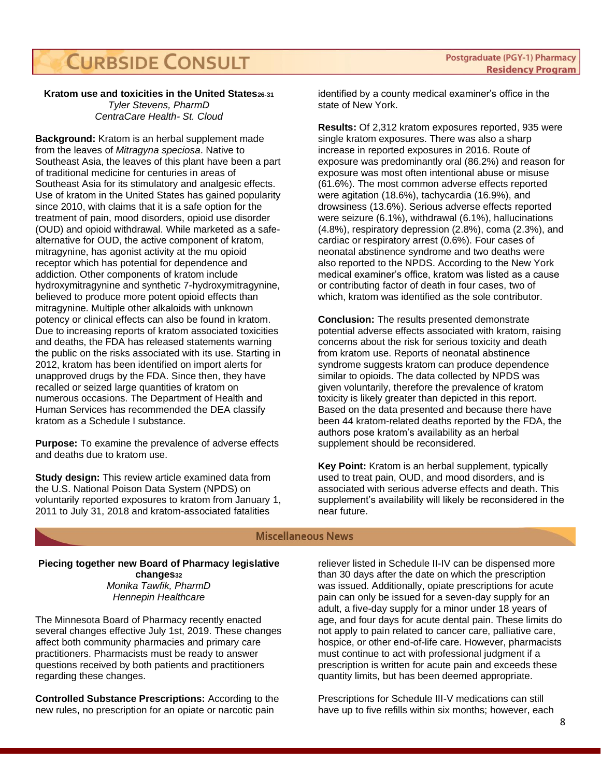#### **Kratom use and toxicities in the United States26-31**

*Tyler Stevens, PharmD CentraCare Health- St. Cloud*

**Background:** Kratom is an herbal supplement made from the leaves of *Mitragyna speciosa*. Native to Southeast Asia, the leaves of this plant have been a part of traditional medicine for centuries in areas of Southeast Asia for its stimulatory and analgesic effects. Use of kratom in the United States has gained popularity since 2010, with claims that it is a safe option for the treatment of pain, mood disorders, opioid use disorder (OUD) and opioid withdrawal. While marketed as a safealternative for OUD, the active component of kratom, mitragynine, has agonist activity at the mu opioid receptor which has potential for dependence and addiction. Other components of kratom include hydroxymitragynine and synthetic 7-hydroxymitragynine, believed to produce more potent opioid effects than mitragynine. Multiple other alkaloids with unknown potency or clinical effects can also be found in kratom. Due to increasing reports of kratom associated toxicities and deaths, the FDA has released statements warning the public on the risks associated with its use. Starting in 2012, kratom has been identified on import alerts for unapproved drugs by the FDA. Since then, they have recalled or seized large quantities of kratom on numerous occasions. The Department of Health and Human Services has recommended the DEA classify kratom as a Schedule I substance.

**Purpose:** To examine the prevalence of adverse effects and deaths due to kratom use.

**Study design:** This review article examined data from the U.S. National Poison Data System (NPDS) on voluntarily reported exposures to kratom from January 1, 2011 to July 31, 2018 and kratom-associated fatalities

identified by a county medical examiner's office in the state of New York.

**Results:** Of 2,312 kratom exposures reported, 935 were single kratom exposures. There was also a sharp increase in reported exposures in 2016. Route of exposure was predominantly oral (86.2%) and reason for exposure was most often intentional abuse or misuse (61.6%). The most common adverse effects reported were agitation (18.6%), tachycardia (16.9%), and drowsiness (13.6%). Serious adverse effects reported were seizure (6.1%), withdrawal (6.1%), hallucinations (4.8%), respiratory depression (2.8%), coma (2.3%), and cardiac or respiratory arrest (0.6%). Four cases of neonatal abstinence syndrome and two deaths were also reported to the NPDS. According to the New York medical examiner's office, kratom was listed as a cause or contributing factor of death in four cases, two of which, kratom was identified as the sole contributor.

**Conclusion:** The results presented demonstrate potential adverse effects associated with kratom, raising concerns about the risk for serious toxicity and death from kratom use. Reports of neonatal abstinence syndrome suggests kratom can produce dependence similar to opioids. The data collected by NPDS was given voluntarily, therefore the prevalence of kratom toxicity is likely greater than depicted in this report. Based on the data presented and because there have been 44 kratom-related deaths reported by the FDA, the authors pose kratom's availability as an herbal supplement should be reconsidered.

**Key Point:** Kratom is an herbal supplement, typically used to treat pain, OUD, and mood disorders, and is associated with serious adverse effects and death. This supplement's availability will likely be reconsidered in the near future.

#### **Miscellaneous News**

#### **Piecing together new Board of Pharmacy legislative changes<sup>32</sup>**

*Monika Tawfik, PharmD Hennepin Healthcare*

The Minnesota Board of Pharmacy recently enacted several changes effective July 1st, 2019. These changes affect both community pharmacies and primary care practitioners. Pharmacists must be ready to answer questions received by both patients and practitioners regarding these changes.

**Controlled Substance Prescriptions:** According to the new rules, no prescription for an opiate or narcotic pain

reliever listed in Schedule II-IV can be dispensed more than 30 days after the date on which the prescription was issued. Additionally, opiate prescriptions for acute pain can only be issued for a seven-day supply for an adult, a five-day supply for a minor under 18 years of age, and four days for acute dental pain. These limits do not apply to pain related to cancer care, palliative care, hospice, or other end-of-life care. However, pharmacists must continue to act with professional judgment if a prescription is written for acute pain and exceeds these quantity limits, but has been deemed appropriate.

Prescriptions for Schedule III-V medications can still have up to five refills within six months; however, each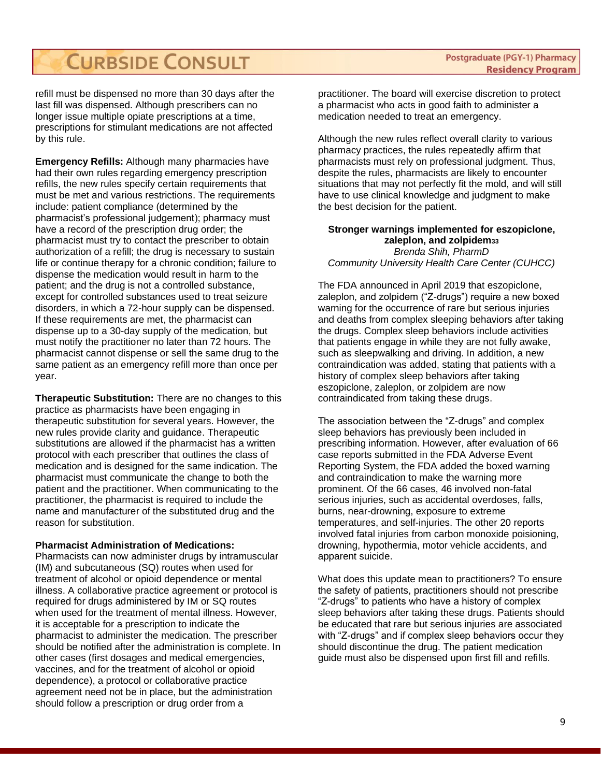refill must be dispensed no more than 30 days after the last fill was dispensed. Although prescribers can no longer issue multiple opiate prescriptions at a time, prescriptions for stimulant medications are not affected by this rule.

**Emergency Refills:** Although many pharmacies have had their own rules regarding emergency prescription refills, the new rules specify certain requirements that must be met and various restrictions. The requirements include: patient compliance (determined by the pharmacist's professional judgement); pharmacy must have a record of the prescription drug order; the pharmacist must try to contact the prescriber to obtain authorization of a refill; the drug is necessary to sustain life or continue therapy for a chronic condition; failure to dispense the medication would result in harm to the patient; and the drug is not a controlled substance, except for controlled substances used to treat seizure disorders, in which a 72-hour supply can be dispensed. If these requirements are met, the pharmacist can dispense up to a 30-day supply of the medication, but must notify the practitioner no later than 72 hours. The pharmacist cannot dispense or sell the same drug to the same patient as an emergency refill more than once per year.

**Therapeutic Substitution:** There are no changes to this practice as pharmacists have been engaging in therapeutic substitution for several years. However, the new rules provide clarity and guidance. Therapeutic substitutions are allowed if the pharmacist has a written protocol with each prescriber that outlines the class of medication and is designed for the same indication. The pharmacist must communicate the change to both the patient and the practitioner. When communicating to the practitioner, the pharmacist is required to include the name and manufacturer of the substituted drug and the reason for substitution.

**Pharmacist Administration of Medications:** 

Pharmacists can now administer drugs by intramuscular (IM) and subcutaneous (SQ) routes when used for treatment of alcohol or opioid dependence or mental illness. A collaborative practice agreement or protocol is required for drugs administered by IM or SQ routes when used for the treatment of mental illness. However, it is acceptable for a prescription to indicate the pharmacist to administer the medication. The prescriber should be notified after the administration is complete. In other cases (first dosages and medical emergencies, vaccines, and for the treatment of alcohol or opioid dependence), a protocol or collaborative practice agreement need not be in place, but the administration should follow a prescription or drug order from a

practitioner. The board will exercise discretion to protect a pharmacist who acts in good faith to administer a medication needed to treat an emergency.

Although the new rules reflect overall clarity to various pharmacy practices, the rules repeatedly affirm that pharmacists must rely on professional judgment. Thus, despite the rules, pharmacists are likely to encounter situations that may not perfectly fit the mold, and will still have to use clinical knowledge and judgment to make the best decision for the patient.

#### **Stronger warnings implemented for eszopiclone, zaleplon, and zolpidem<sup>33</sup>** *Brenda Shih, PharmD Community University Health Care Center (CUHCC)*

The FDA announced in April 2019 that eszopiclone, zaleplon, and zolpidem ("Z-drugs") require a new boxed warning for the occurrence of rare but serious injuries and deaths from complex sleeping behaviors after taking the drugs. Complex sleep behaviors include activities that patients engage in while they are not fully awake, such as sleepwalking and driving. In addition, a new contraindication was added, stating that patients with a history of complex sleep behaviors after taking eszopiclone, zaleplon, or zolpidem are now contraindicated from taking these drugs.

The association between the "Z-drugs" and complex sleep behaviors has previously been included in prescribing information. However, after evaluation of 66 case reports submitted in the FDA Adverse Event Reporting System, the FDA added the boxed warning and contraindication to make the warning more prominent. Of the 66 cases, 46 involved non-fatal serious injuries, such as accidental overdoses, falls, burns, near-drowning, exposure to extreme temperatures, and self-injuries. The other 20 reports involved fatal injuries from carbon monoxide poisioning, drowning, hypothermia, motor vehicle accidents, and apparent suicide.

What does this update mean to practitioners? To ensure the safety of patients, practitioners should not prescribe "Z-drugs" to patients who have a history of complex sleep behaviors after taking these drugs. Patients should be educated that rare but serious injuries are associated with "Z-drugs" and if complex sleep behaviors occur they should discontinue the drug. The patient medication guide must also be dispensed upon first fill and refills.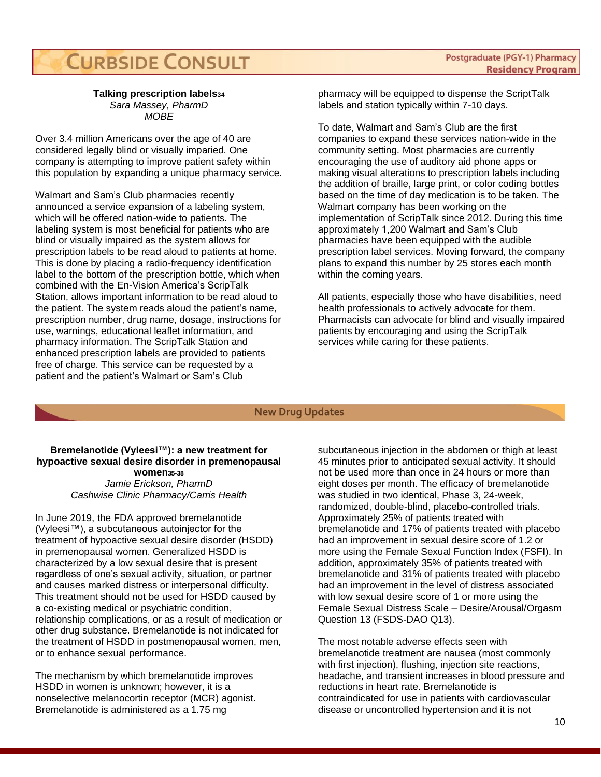#### **Talking prescription labels<sup>34</sup>** *Sara Massey, PharmD MOBE*

Over 3.4 million Americans over the age of 40 are considered legally blind or visually imparied. One company is attempting to improve patient safety within this population by expanding a unique pharmacy service.

Walmart and Sam's Club pharmacies recently announced a service expansion of a labeling system, which will be offered nation-wide to patients. The labeling system is most beneficial for patients who are blind or visually impaired as the system allows for prescription labels to be read aloud to patients at home. This is done by placing a radio-frequency identification label to the bottom of the prescription bottle, which when combined with the En-Vision America's ScripTalk Station, allows important information to be read aloud to the patient. The system reads aloud the patient's name, prescription number, drug name, dosage, instructions for use, warnings, educational leaflet information, and pharmacy information. The ScripTalk Station and enhanced prescription labels are provided to patients free of charge. This service can be requested by a patient and the patient's Walmart or Sam's Club

pharmacy will be equipped to dispense the ScriptTalk labels and station typically within 7-10 days.

To date, Walmart and Sam's Club are the first companies to expand these services nation-wide in the community setting. Most pharmacies are currently encouraging the use of auditory aid phone apps or making visual alterations to prescription labels including the addition of braille, large print, or color coding bottles based on the time of day medication is to be taken. The Walmart company has been working on the implementation of ScripTalk since 2012. During this time approximately 1,200 Walmart and Sam's Club pharmacies have been equipped with the audible prescription label services. Moving forward, the company plans to expand this number by 25 stores each month within the coming years.

All patients, especially those who have disabilities, need health professionals to actively advocate for them. Pharmacists can advocate for blind and visually impaired patients by encouraging and using the ScripTalk services while caring for these patients.

#### **New Drug Updates**

#### **Bremelanotide (Vyleesi™): a new treatment for hypoactive sexual desire disorder in premenopausal women35-38** *Jamie Erickson, PharmD Cashwise Clinic Pharmacy/Carris Health*

In June 2019, the FDA approved bremelanotide (Vyleesi™), a subcutaneous autoinjector for the treatment of hypoactive sexual desire disorder (HSDD) in premenopausal women. Generalized HSDD is characterized by a low sexual desire that is present regardless of one's sexual activity, situation, or partner and causes marked distress or interpersonal difficulty. This treatment should not be used for HSDD caused by a co-existing medical or psychiatric condition, relationship complications, or as a result of medication or other drug substance. Bremelanotide is not indicated for the treatment of HSDD in postmenopausal women, men, or to enhance sexual performance.

The mechanism by which bremelanotide improves HSDD in women is unknown; however, it is a nonselective melanocortin receptor (MCR) agonist. Bremelanotide is administered as a 1.75 mg

subcutaneous injection in the abdomen or thigh at least 45 minutes prior to anticipated sexual activity. It should not be used more than once in 24 hours or more than eight doses per month. The efficacy of bremelanotide was studied in two identical, Phase 3, 24-week, randomized, double-blind, placebo-controlled trials. Approximately 25% of patients treated with bremelanotide and 17% of patients treated with placebo had an improvement in sexual desire score of 1.2 or more using the Female Sexual Function Index (FSFI). In addition, approximately 35% of patients treated with bremelanotide and 31% of patients treated with placebo had an improvement in the level of distress associated with low sexual desire score of 1 or more using the Female Sexual Distress Scale – Desire/Arousal/Orgasm Question 13 (FSDS-DAO Q13).

The most notable adverse effects seen with bremelanotide treatment are nausea (most commonly with first injection), flushing, injection site reactions, headache, and transient increases in blood pressure and reductions in heart rate. Bremelanotide is contraindicated for use in patients with cardiovascular disease or uncontrolled hypertension and it is not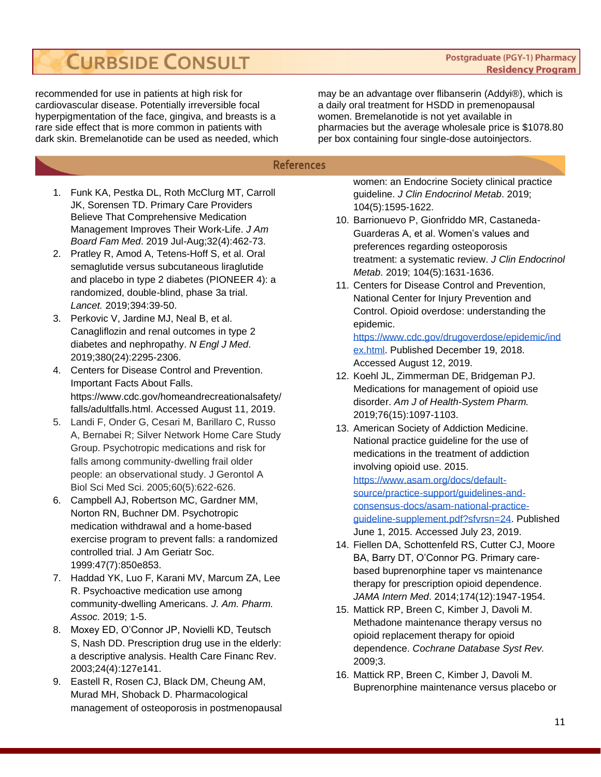**Postgraduate (PGY-1) Pharmacy Residency Program** 

recommended for use in patients at high risk for cardiovascular disease. Potentially irreversible focal hyperpigmentation of the face, gingiva, and breasts is a rare side effect that is more common in patients with dark skin. Bremelanotide can be used as needed, which

may be an advantage over flibanserin (Addyi®), which is a daily oral treatment for HSDD in premenopausal women. Bremelanotide is not yet available in pharmacies but the average wholesale price is \$1078.80 per box containing four single-dose autoinjectors.

#### **References**

- 1. Funk KA, Pestka DL, Roth McClurg MT, Carroll JK, Sorensen TD. Primary Care Providers Believe That Comprehensive Medication Management Improves Their Work-Life. *J Am Board Fam Med*. 2019 Jul-Aug;32(4):462-73.
- 2. Pratley R, Amod A, Tetens-Hoff S, et al. Oral semaglutide versus subcutaneous liraglutide and placebo in type 2 diabetes (PIONEER 4): a randomized, double-blind, phase 3a trial. *Lancet.* 2019;394:39-50.
- 3. Perkovic V, Jardine MJ, Neal B, et al. Canagliflozin and renal outcomes in type 2 diabetes and nephropathy. *N Engl J Med*. 2019;380(24):2295-2306.
- 4. Centers for Disease Control and Prevention. Important Facts About Falls. https://www.cdc.gov/homeandrecreationalsafety/ falls/adultfalls.html. Accessed August 11, 2019.
- 5. Landi F, Onder G, Cesari M, Barillaro C, Russo A, Bernabei R; Silver Network Home Care Study Group. Psychotropic medications and risk for falls among community-dwelling frail older people: an observational study. J Gerontol A Biol Sci Med Sci. 2005;60(5):622-626.
- 6. Campbell AJ, Robertson MC, Gardner MM, Norton RN, Buchner DM. Psychotropic medication withdrawal and a home-based exercise program to prevent falls: a randomized controlled trial. J Am Geriatr Soc. 1999:47(7):850e853.
- 7. Haddad YK, Luo F, Karani MV, Marcum ZA, Lee R. Psychoactive medication use among community-dwelling Americans. *J. Am. Pharm. Assoc.* 2019; 1-5.
- 8. Moxey ED, O'Connor JP, Novielli KD, Teutsch S, Nash DD. Prescription drug use in the elderly: a descriptive analysis. Health Care Financ Rev. 2003;24(4):127e141.
- 9. Eastell R, Rosen CJ, Black DM, Cheung AM, Murad MH, Shoback D. Pharmacological management of osteoporosis in postmenopausal

women: an Endocrine Society clinical practice guideline. *J Clin Endocrinol Metab*. 2019; 104(5):1595-1622.

- 10. Barrionuevo P, Gionfriddo MR, Castaneda-Guarderas A, et al. Women's values and preferences regarding osteoporosis treatment: a systematic review. *J Clin Endocrinol Metab*. 2019; 104(5):1631-1636.
- 11. Centers for Disease Control and Prevention, National Center for Injury Prevention and Control. Opioid overdose: understanding the epidemic.

[https://www.cdc.gov/drugoverdose/epidemic/ind](https://www.cdc.gov/drugoverdose/epidemic/index.html) [ex.html.](https://www.cdc.gov/drugoverdose/epidemic/index.html) Published December 19, 2018. Accessed August 12, 2019.

- 12. Koehl JL, Zimmerman DE, Bridgeman PJ. Medications for management of opioid use disorder. *Am J of Health-System Pharm.*  2019;76(15):1097-1103.
- 13. American Society of Addiction Medicine. National practice guideline for the use of medications in the treatment of addiction involving opioid use. 2015. [https://www.asam.org/docs/default](https://www.asam.org/docs/default-source/practice-support/guidelines-and-consensus-docs/asam-national-practice-guideline-supplement.pdf?sfvrsn=24)[source/practice-support/guidelines-and](https://www.asam.org/docs/default-source/practice-support/guidelines-and-consensus-docs/asam-national-practice-guideline-supplement.pdf?sfvrsn=24)[consensus-docs/asam-national-practice](https://www.asam.org/docs/default-source/practice-support/guidelines-and-consensus-docs/asam-national-practice-guideline-supplement.pdf?sfvrsn=24)[guideline-supplement.pdf?sfvrsn=24.](https://www.asam.org/docs/default-source/practice-support/guidelines-and-consensus-docs/asam-national-practice-guideline-supplement.pdf?sfvrsn=24) Published June 1, 2015. Accessed July 23, 2019.
- 14. Fiellen DA, Schottenfeld RS, Cutter CJ, Moore BA, Barry DT, O'Connor PG. Primary carebased buprenorphine taper vs maintenance therapy for prescription opioid dependence. *JAMA Intern Med*. 2014;174(12):1947-1954.
- 15. Mattick RP, Breen C, Kimber J, Davoli M. Methadone maintenance therapy versus no opioid replacement therapy for opioid dependence. *Cochrane Database Syst Rev.*  2009;3.
- 16. Mattick RP, Breen C, Kimber J, Davoli M. Buprenorphine maintenance versus placebo or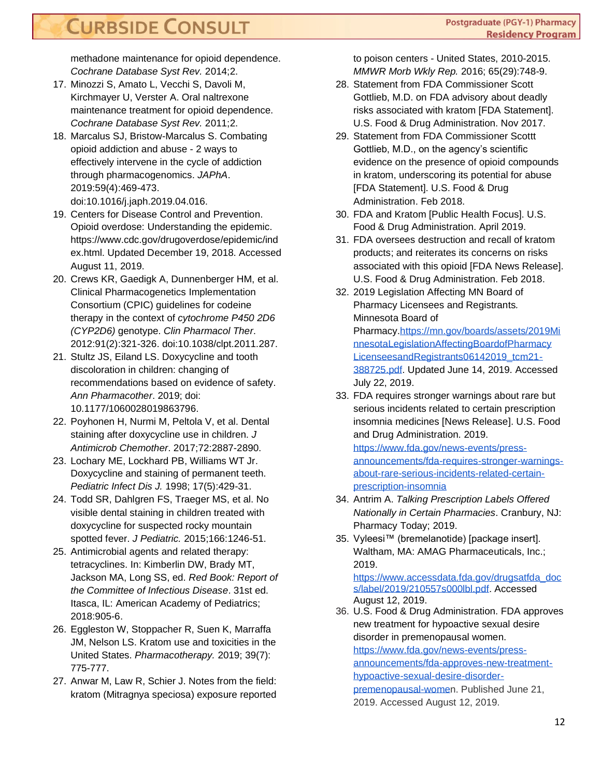methadone maintenance for opioid dependence. *Cochrane Database Syst Rev.* 2014;2.

- 17. Minozzi S, Amato L, Vecchi S, Davoli M, Kirchmayer U, Verster A. Oral naltrexone maintenance treatment for opioid dependence. *Cochrane Database Syst Rev.* 2011;2.
- 18. Marcalus SJ, Bristow-Marcalus S. Combating opioid addiction and abuse - 2 ways to effectively intervene in the cycle of addiction through pharmacogenomics. *JAPhA*. 2019:59(4):469-473. doi:10.1016/j.japh.2019.04.016.
- 19. Centers for Disease Control and Prevention. Opioid overdose: Understanding the epidemic. https://www.cdc.gov/drugoverdose/epidemic/ind ex.html. Updated December 19, 2018. Accessed August 11, 2019.
- 20. Crews KR, Gaedigk A, Dunnenberger HM, et al. Clinical Pharmacogenetics Implementation Consortium (CPIC) guidelines for codeine therapy in the context of *cytochrome P450 2D6 (CYP2D6)* genotype. *Clin Pharmacol Ther*. 2012:91(2):321-326. doi:10.1038/clpt.2011.287.
- 21. Stultz JS, Eiland LS. Doxycycline and tooth discoloration in children: changing of recommendations based on evidence of safety. *Ann Pharmacother*. 2019; doi: 10.1177/1060028019863796.
- 22. Poyhonen H, Nurmi M, Peltola V, et al. Dental staining after doxycycline use in children. *J Antimicrob Chemother*. 2017;72:2887-2890.
- 23. Lochary ME, Lockhard PB, Williams WT Jr. Doxycycline and staining of permanent teeth. *Pediatric Infect Dis J.* 1998; 17(5):429-31.
- 24. Todd SR, Dahlgren FS, Traeger MS, et al. No visible dental staining in children treated with doxycycline for suspected rocky mountain spotted fever. *J Pediatric.* 2015;166:1246-51.
- 25. Antimicrobial agents and related therapy: tetracyclines. In: Kimberlin DW, Brady MT, Jackson MA, Long SS, ed. *Red Book: Report of the Committee of Infectious Disease*. 31st ed. Itasca, IL: American Academy of Pediatrics; 2018:905-6.
- 26. Eggleston W, Stoppacher R, Suen K, Marraffa JM, Nelson LS. Kratom use and toxicities in the United States. *Pharmacotherapy.* 2019; 39(7): 775-777.
- 27. Anwar M, Law R, Schier J. Notes from the field: kratom (Mitragnya speciosa) exposure reported

to poison centers - United States, 2010-2015. *MMWR Morb Wkly Rep.* 2016; 65(29):748-9.

- 28. Statement from FDA Commissioner Scott Gottlieb, M.D. on FDA advisory about deadly risks associated with kratom [FDA Statement]. U.S. Food & Drug Administration. Nov 2017.
- 29. Statement from FDA Commissioner Scottt Gottlieb, M.D., on the agency's scientific evidence on the presence of opioid compounds in kratom, underscoring its potential for abuse [FDA Statement]. U.S. Food & Drug Administration. Feb 2018.
- 30. FDA and Kratom [Public Health Focus]. U.S. Food & Drug Administration. April 2019.
- 31. FDA oversees destruction and recall of kratom products; and reiterates its concerns on risks associated with this opioid [FDA News Release]. U.S. Food & Drug Administration. Feb 2018.
- 32. 2019 Legislation Affecting MN Board of Pharmacy Licensees and Registrants*.*  Minnesota Board of Pharmacy[.https://mn.gov/boards/assets/2019Mi](https://mn.gov/boards/assets/2019MinnesotaLegislationAffectingBoardofPharmacyLicenseesandRegistrants06142019_tcm21-388725.pdf) [nnesotaLegislationAffectingBoardofPharmacy](https://mn.gov/boards/assets/2019MinnesotaLegislationAffectingBoardofPharmacyLicenseesandRegistrants06142019_tcm21-388725.pdf)  [LicenseesandRegistrants06142019\\_tcm21-](https://mn.gov/boards/assets/2019MinnesotaLegislationAffectingBoardofPharmacyLicenseesandRegistrants06142019_tcm21-388725.pdf) [388725.pdf.](https://mn.gov/boards/assets/2019MinnesotaLegislationAffectingBoardofPharmacyLicenseesandRegistrants06142019_tcm21-388725.pdf) Updated June 14, 2019. Accessed July 22, 2019.
- 33. FDA requires stronger warnings about rare but serious incidents related to certain prescription insomnia medicines [News Release]. U.S. Food and Drug Administration. 2019. [https://www.fda.gov/news-events/press](https://www.fda.gov/news-events/press-announcements/fda-requires-stronger-warnings-about-rare-serious-incidents-related-certain-prescription-insomnia)[announcements/fda-requires-stronger-warnings](https://www.fda.gov/news-events/press-announcements/fda-requires-stronger-warnings-about-rare-serious-incidents-related-certain-prescription-insomnia)[about-rare-serious-incidents-related-certain](https://www.fda.gov/news-events/press-announcements/fda-requires-stronger-warnings-about-rare-serious-incidents-related-certain-prescription-insomnia)[prescription-insomnia](https://www.fda.gov/news-events/press-announcements/fda-requires-stronger-warnings-about-rare-serious-incidents-related-certain-prescription-insomnia)
- 34. Antrim A. *Talking Prescription Labels Offered Nationally in Certain Pharmacies*. Cranbury, NJ: Pharmacy Today; 2019.
- 35. Vyleesi™ (bremelanotide) [package insert]. Waltham, MA: AMAG Pharmaceuticals, Inc.; 2019.

[https://www.accessdata.fda.gov/drugsatfda\\_doc](https://www.accessdata.fda.gov/drugsatfda_docs/label/2019/210557s000lbl.pdf) [s/label/2019/210557s000lbl.pdf.](https://www.accessdata.fda.gov/drugsatfda_docs/label/2019/210557s000lbl.pdf) Accessed August 12, 2019.

36. U.S. Food & Drug Administration. FDA approves new treatment for hypoactive sexual desire disorder in premenopausal women. [https://www.fda.gov/news-events/press](https://www.fda.gov/news-events/press-announcements/fda-approves-new-treatment-hypoactive-sexual-desire-disorder-premenopausal-women)[announcements/fda-approves-new-treatment](https://www.fda.gov/news-events/press-announcements/fda-approves-new-treatment-hypoactive-sexual-desire-disorder-premenopausal-women)[hypoactive-sexual-desire-disorder](https://www.fda.gov/news-events/press-announcements/fda-approves-new-treatment-hypoactive-sexual-desire-disorder-premenopausal-women)[premenopausal-women](https://www.fda.gov/news-events/press-announcements/fda-approves-new-treatment-hypoactive-sexual-desire-disorder-premenopausal-women). Published June 21, 2019. Accessed August 12, 2019.